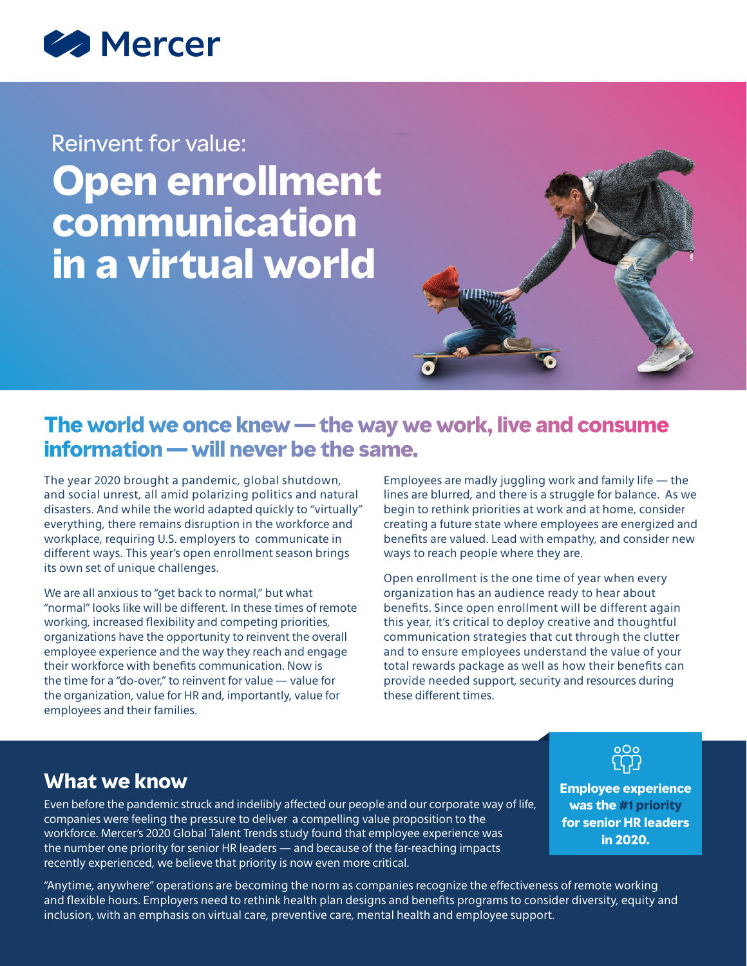

# Reinvent for value: **Open enrollment communication in a virtual world**



# **The world we once knew — the way we work, live and consume information — will never be the same.**

The year 2020 brought a pandemic, global shutdown, and social unrest, all amid polarizing politics and natural disasters. And while the world adapted quickly to "virtually" everything, there remains disruption in the workforce and workplace, requiring U.S. employers to communicate in different ways. This year's open enrollment season brings its own set of unique challenges.

We are all anxious to "get back to normal," but what "normal" looks like will be different. In these times of remote working, increased flexibility and competing priorities, organizations have the opportunity to reinvent the overall employee experience and the way they reach and engage their workforce with benefits communication. Now is the time for a "do-over," to reinvent for value — value for the organization, value for HR and, importantly, value for employees and their families.

Employees are madly juggling work and family life — the lines are blurred, and there is a struggle for balance. As we begin to rethink priorities at work and at home, consider creating a future state where employees are energized and benefits are valued. Lead with empathy, and consider new ways to reach people where they are.

Open enrollment is the one time of year when every organization has an audience ready to hear about benefits. Since open enrollment will be different again this year, it's critical to deploy creative and thoughtful communication strategies that cut through the clutter and to ensure employees understand the value of your total rewards package as well as how their benefits can provide needed support, security and resources during these different times.

## **What we know**

Even before the pandemic struck and indelibly affected our people and our corporate way of life, companies were feeling the pressure to deliver a compelling value proposition to the workforce. Mercer's 2020 Global Talent Trends study found that employee experience was the number one priority for senior HR leaders — and because of the far-reaching impacts recently experienced, we believe that priority is now even more critical.

**Employee experience was the #1 priority for senior HR leaders in 2020.**

"Anytime, anywhere" operations are becoming the norm as companies recognize the effectiveness of remote working and flexible hours. Employers need to rethink health plan designs and benefits programs to consider diversity, equity and inclusion, with an emphasis on virtual care, preventive care, mental health and employee support.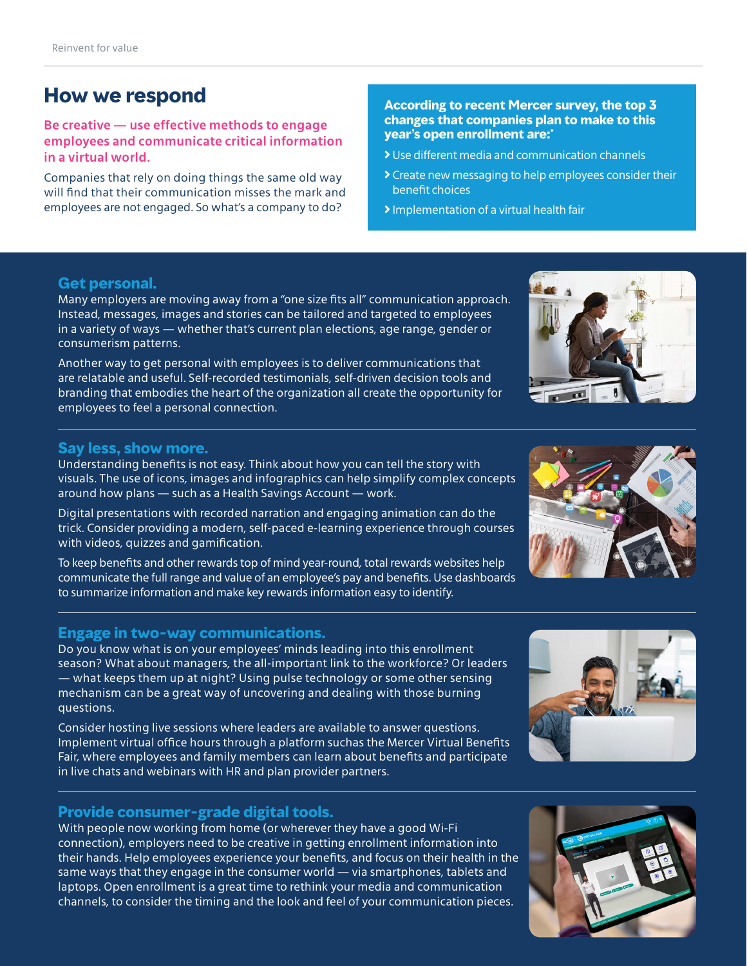# **How we respond**

#### **Be creative — use effective methods to engage employees and communicate critical information in a virtual world.**

Companies that rely on doing things the same old way will find that their communication misses the mark and employees are not engaged. So what's a company to do?

#### **According to recent Mercer survey, the top 3 changes that companies plan to make to this year's open enrollment are:\***

- Use different media and communication channels
- Create new messaging to help employees consider their benefit choices
- Implementation of a virtual health fair

#### **Get personal.**

Many employers are moving away from a "one size fits all" communication approach. Instead, messages, images and stories can be tailored and targeted to employees in a variety of ways — whether that's current plan elections, age range, gender or consumerism patterns.

Another way to get personal with employees is to deliver communications that are relatable and useful. Self-recorded testimonials, self-driven decision tools and branding that embodies the heart of the organization all create the opportunity for employees to feel a personal connection.

#### **Say less, show more.**

Understanding benefits is not easy. Think about how you can tell the story with visuals. The use of icons, images and infographics can help simplify complex concepts around how plans — such as a Health Savings Account — work.

Digital presentations with recorded narration and engaging animation can do the trick. Consider providing a modern, self-paced e-learning experience through courses with videos, quizzes and gamification.

To keep benefits and other rewards top of mind year-round, total rewards websites help communicate the full range and value of an employee's pay and benefits. Use dashboards to summarize information and make key rewards information easy to identify.

#### **Engage in two-way communications.**

Do you know what is on your employees' minds leading into this enrollment season? What about managers, the all-important link to the workforce? Or leaders — what keeps them up at night? Using pulse technology or some other sensing mechanism can be a great way of uncovering and dealing with those burning questions.

Consider hosting live sessions where leaders are available to answer questions. Implement virtual office hours through a platform suchas the Mercer Virtual Benefits Fair, where employees and family members can learn about benefits and participate in live chats and webinars with HR and plan provider partners.

#### **Provide consumer-grade digital tools.**

With people now working from home (or wherever they have a good Wi-Fi connection), employers need to be creative in getting enrollment information into their hands. Help employees experience your benefits, and focus on their health in the same ways that they engage in the consumer world — via smartphones, tablets and laptops. Open enrollment is a great time to rethink your media and communication channels, to consider the timing and the look and feel of your communication pieces.